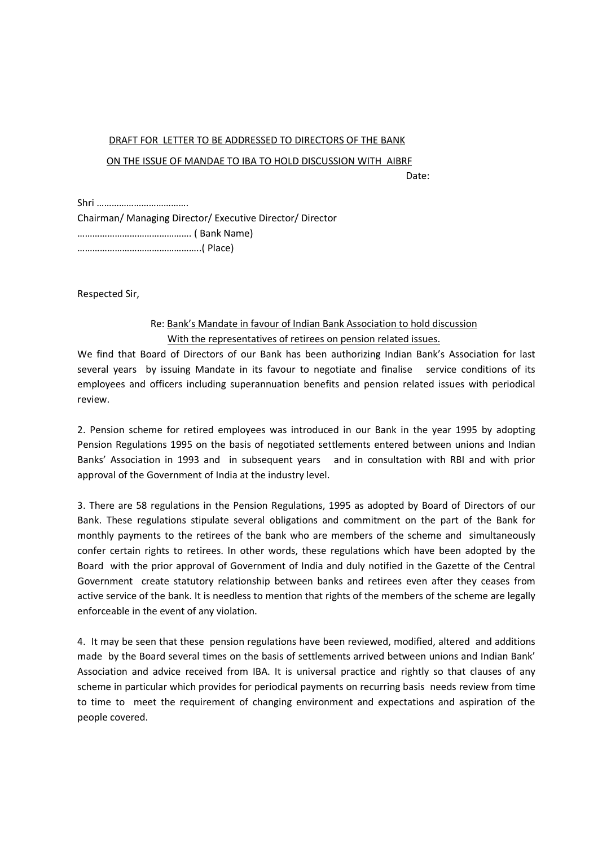## DRAFT FOR LETTER TO BE ADDRESSED TO DIRECTORS OF THE BANK

## ON THE ISSUE OF MANDAE TO IBA TO HOLD DISCUSSION WITH AIBRF

discussion of the contract of the contract of the Date:

Shri ………………………………. Chairman/ Managing Director/ Executive Director/ Director ………………………………………. ( Bank Name) …………………………………………..( Place)

Respected Sir,

## Re: Bank's Mandate in favour of Indian Bank Association to hold discussion With the representatives of retirees on pension related issues.

We find that Board of Directors of our Bank has been authorizing Indian Bank's Association for last several years by issuing Mandate in its favour to negotiate and finalise service conditions of its employees and officers including superannuation benefits and pension related issues with periodical review.

2. Pension scheme for retired employees was introduced in our Bank in the year 1995 by adopting Pension Regulations 1995 on the basis of negotiated settlements entered between unions and Indian Banks' Association in 1993 and in subsequent years and in consultation with RBI and with prior approval of the Government of India at the industry level.

3. There are 58 regulations in the Pension Regulations, 1995 as adopted by Board of Directors of our Bank. These regulations stipulate several obligations and commitment on the part of the Bank for monthly payments to the retirees of the bank who are members of the scheme and simultaneously confer certain rights to retirees. In other words, these regulations which have been adopted by the Board with the prior approval of Government of India and duly notified in the Gazette of the Central Government create statutory relationship between banks and retirees even after they ceases from active service of the bank. It is needless to mention that rights of the members of the scheme are legally enforceable in the event of any violation.

4. It may be seen that these pension regulations have been reviewed, modified, altered and additions made by the Board several times on the basis of settlements arrived between unions and Indian Bank' Association and advice received from IBA. It is universal practice and rightly so that clauses of any scheme in particular which provides for periodical payments on recurring basis needs review from time to time to meet the requirement of changing environment and expectations and aspiration of the people covered.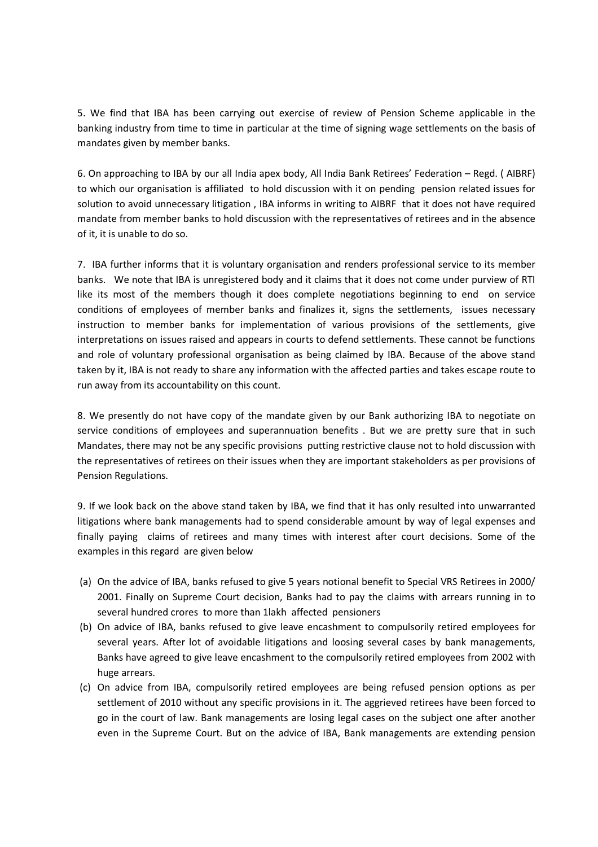5. We find that IBA has been carrying out exercise of review of Pension Scheme applicable in the banking industry from time to time in particular at the time of signing wage settlements on the basis of mandates given by member banks.

6. On approaching to IBA by our all India apex body, All India Bank Retirees' Federation – Regd. ( AIBRF) to which our organisation is affiliated to hold discussion with it on pending pension related issues for solution to avoid unnecessary litigation , IBA informs in writing to AIBRF that it does not have required mandate from member banks to hold discussion with the representatives of retirees and in the absence of it, it is unable to do so.

7. IBA further informs that it is voluntary organisation and renders professional service to its member banks. We note that IBA is unregistered body and it claims that it does not come under purview of RTI like its most of the members though it does complete negotiations beginning to end on service conditions of employees of member banks and finalizes it, signs the settlements, issues necessary instruction to member banks for implementation of various provisions of the settlements, give interpretations on issues raised and appears in courts to defend settlements. These cannot be functions and role of voluntary professional organisation as being claimed by IBA. Because of the above stand taken by it, IBA is not ready to share any information with the affected parties and takes escape route to run away from its accountability on this count.

8. We presently do not have copy of the mandate given by our Bank authorizing IBA to negotiate on service conditions of employees and superannuation benefits . But we are pretty sure that in such Mandates, there may not be any specific provisions putting restrictive clause not to hold discussion with the representatives of retirees on their issues when they are important stakeholders as per provisions of Pension Regulations.

9. If we look back on the above stand taken by IBA, we find that it has only resulted into unwarranted litigations where bank managements had to spend considerable amount by way of legal expenses and finally paying claims of retirees and many times with interest after court decisions. Some of the examples in this regard are given below

- (a) On the advice of IBA, banks refused to give 5 years notional benefit to Special VRS Retirees in 2000/ 2001. Finally on Supreme Court decision, Banks had to pay the claims with arrears running in to several hundred crores to more than 1lakh affected pensioners
- (b) On advice of IBA, banks refused to give leave encashment to compulsorily retired employees for several years. After lot of avoidable litigations and loosing several cases by bank managements, Banks have agreed to give leave encashment to the compulsorily retired employees from 2002 with huge arrears.
- (c) On advice from IBA, compulsorily retired employees are being refused pension options as per settlement of 2010 without any specific provisions in it. The aggrieved retirees have been forced to go in the court of law. Bank managements are losing legal cases on the subject one after another even in the Supreme Court. But on the advice of IBA, Bank managements are extending pension